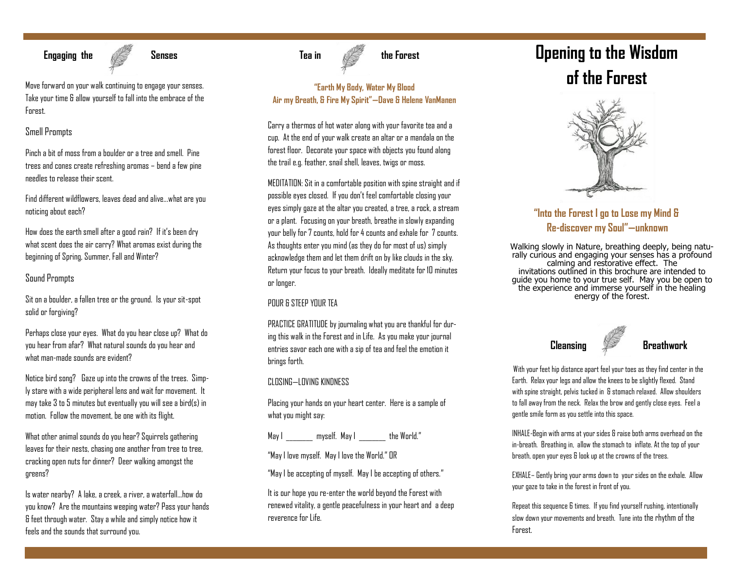

Take your time & allow yourself to fall into the embrace of the Forest.

# Smell Prompts

Pinch a bit of moss from a boulder or a tree and smell. Pine trees and cones create refreshing aromas – bend a few pine needles to release their scent.

Find different wildflowers, leaves dead and alive...what are you noticing about each?

How does the earth smell after a good rain? If it's been dry what scent does the air carry? What aromas exist during the beginning of Spring, Summer, Fall and Winter?

# Sound Prompts

Sit on a boulder, a fallen tree or the ground. Is your sit-spot solid or forgiving?

Perhaps close your eyes. What do you hear close up? What do you hear from afar? What natural sounds do you hear and what man-made sounds are evident?

Notice bird song? Gaze up into the crowns of the trees. Simply stare with a wide peripheral lens and wait for movement. It may take 3 to 5 minutes but eventually you will see a bird(s) in motion. Follow the movement, be one with its flight.

What other animal sounds do you hear? Squirrels gathering leaves for their nests, chasing one another from tree to tree, cracking open nuts for dinner? Deer walking amongst the greens?

Is water nearby? A lake, a creek, a river, a waterfall…how do you know? Are the mountains weeping water? Pass your hands & feet through water. Stay a while and simply notice how it feels and the sounds that surround you.

# **"Earth My Body, Water My Blood Air my Breath, & Fire My Spirit"—Dave & Helene VanManen**

Carry a thermos of hot water along with your favorite tea and a cup. At the end of your walk create an altar or a mandala on the forest floor. Decorate your space with objects you found along the trail e.g. feather, snail shell, leaves, twigs or moss.

MEDITATION: Sit in a comfortable position with spine straight and if possible eyes closed. If you don't feel comfortable closing your eyes simply gaze at the altar you created, a tree, a rock, a stream or a plant. Focusing on your breath, breathe in slowly expanding your belly for 7 counts, hold for 4 counts and exhale for 7 counts. As thoughts enter you mind (as they do for most of us) simply acknowledge them and let them drift on by like clouds in the sky. Return your focus to your breath. Ideally meditate for 10 minutes or longer.

# POUR & STEEP YOUR TEA

PRACTICE GRATITUDE by journaling what you are thankful for during this walk in the Forest and in Life. As you make your journal entries savor each one with a sip of tea and feel the emotion it brings forth.

# CLOSING—LOVING KINDNESS

Placing your hands on your heart center. Here is a sample of what you might say:

May I \_\_\_\_\_\_\_\_ myself. May I \_\_\_\_\_\_\_\_ the World."

"May I love myself. May I love the World." OR

"May I be accepting of myself. May I be accepting of others."

It is our hope you re-enter the world beyond the Forest with renewed vitality, a gentle peacefulness in your heart and a deep reverence for Life.

# **Opening to the Wisdom**  Move forward on your walk continuing to engage your senses. **We cannot continue the ward on your walk continuing to engage your senses.**



# **"Into the Forest I go to Lose my Mind & Re-discover my Soul"—unknown**

Walking slowly in Nature, breathing deeply, being naturally curious and engaging your senses has a profound calming and restorative effect. The invitations outlined in this brochure are intended to guide you home to your true self. May you be open to the experience and immerse yourself in the healing energy of the forest.



With your feet hip distance apart feel your toes as they find center in the Earth. Relax your legs and allow the knees to be slightly flexed. Stand with spine straight, pelvis tucked in & stomach relaxed. Allow shoulders to fall away from the neck. Relax the brow and gently close eyes. Feel a gentle smile form as you settle into this space.

INHALE-Begin with arms at your sides & raise both arms overhead on the in-breath. Breathing in, allow the stomach to inflate. At the top of your breath, open your eyes & look up at the crowns of the trees.

EXHALE– Gently bring your arms down to your sides on the exhale. Allow your gaze to take in the forest in front of you.

Repeat this sequence 6 times. If you find yourself rushing, intentionally slow down your movements and breath. Tune into the rhythm of the Forest.